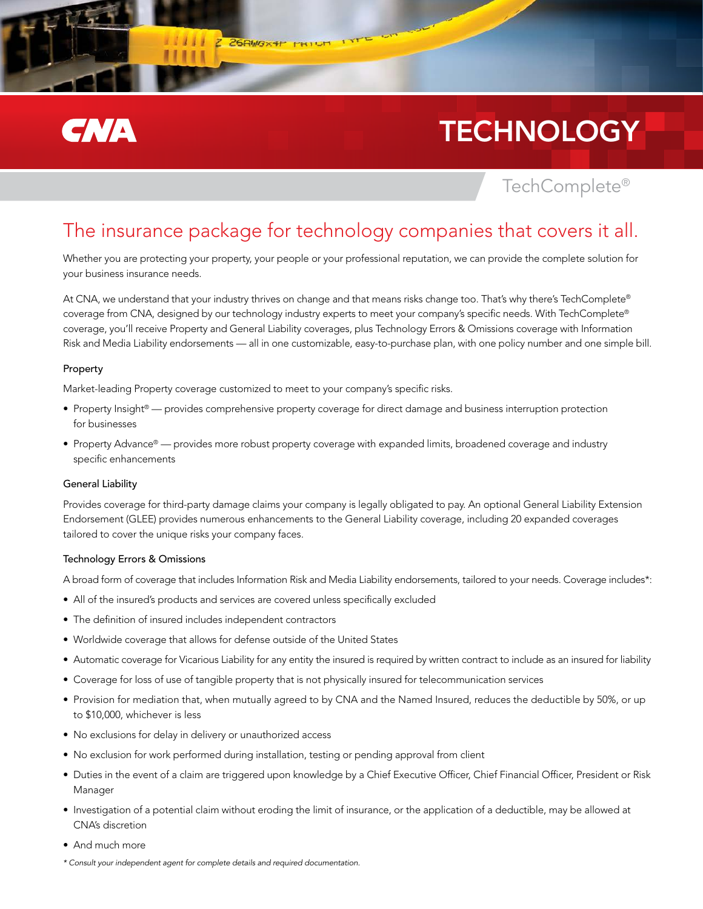

# **TECHNOLOGY**

TechComplete®

### The insurance package for technology companies that covers it all.

Whether you are protecting your property, your people or your professional reputation, we can provide the complete solution for your business insurance needs.

At CNA, we understand that your industry thrives on change and that means risks change too. That's why there's TechComplete® coverage from CNA, designed by our technology industry experts to meet your company's specific needs. With TechComplete® coverage, you'll receive Property and General Liability coverages, plus Technology Errors & Omissions coverage with Information Risk and Media Liability endorsements — all in one customizable, easy-to-purchase plan, with one policy number and one simple bill.

### Property

Market-leading Property coverage customized to meet to your company's specific risks.

Z 26RW3x4t

- Property Insight® provides comprehensive property coverage for direct damage and business interruption protection for businesses
- Property Advance® provides more robust property coverage with expanded limits, broadened coverage and industry specific enhancements

### General Liability

Provides coverage for third-party damage claims your company is legally obligated to pay. An optional General Liability Extension Endorsement (GLEE) provides numerous enhancements to the General Liability coverage, including 20 expanded coverages tailored to cover the unique risks your company faces.

### Technology Errors & Omissions

A broad form of coverage that includes Information Risk and Media Liability endorsements, tailored to your needs. Coverage includes\*:

- All of the insured's products and services are covered unless specifically excluded
- The definition of insured includes independent contractors
- Worldwide coverage that allows for defense outside of the United States
- • Automatic coverage for Vicarious Liability for any entity the insured is required by written contract to include as an insured for liability
- • Coverage for loss of use of tangible property that is not physically insured for telecommunication services
- Provision for mediation that, when mutually agreed to by CNA and the Named Insured, reduces the deductible by 50%, or up to \$10,000, whichever is less
- No exclusions for delay in delivery or unauthorized access
- No exclusion for work performed during installation, testing or pending approval from client
- • Duties in the event of a claim are triggered upon knowledge by a Chief Executive Officer, Chief Financial Officer, President or Risk Manager
- • Investigation of a potential claim without eroding the limit of insurance, or the application of a deductible, may be allowed at CNA's discretion
- And much more
- *\* Consult your independent agent for complete details and required documentation.*